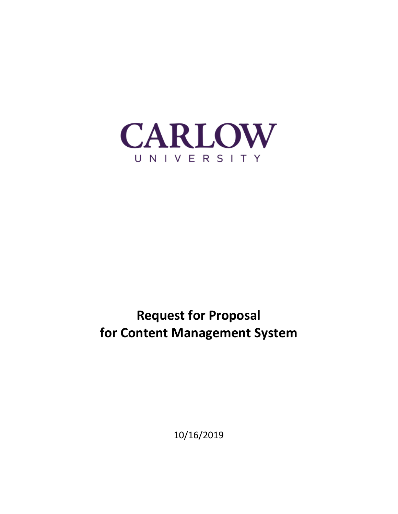

# **Request for Proposal for Content Management System**

10/16/2019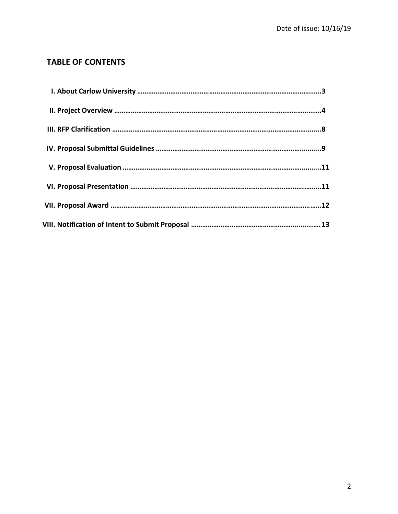# **TABLE OF CONTENTS**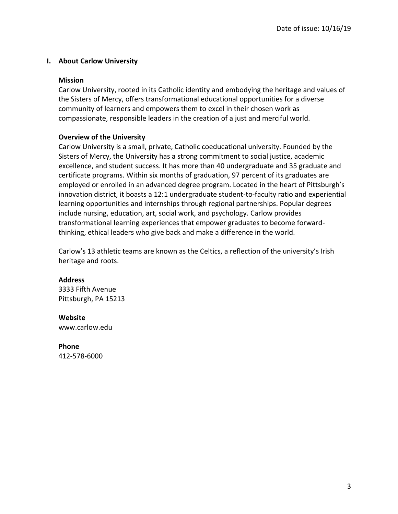## **I. About Carlow University**

#### **Mission**

Carlow University, rooted in its Catholic identity and embodying the heritage and values of the Sisters of Mercy, offers transformational educational opportunities for a diverse community of learners and empowers them to excel in their chosen work as compassionate, responsible leaders in the creation of a just and merciful world.

#### **Overview of the University**

Carlow University is a small, private, Catholic coeducational university. Founded by the Sisters of Mercy, the University has a strong commitment to social justice, academic excellence, and student success. It has more than 40 undergraduate and 35 graduate and certificate programs. Within six months of graduation, 97 percent of its graduates are employed or enrolled in an advanced degree program. Located in the heart of Pittsburgh's innovation district, it boasts a 12:1 undergraduate student-to-faculty ratio and experiential learning opportunities and internships through regional partnerships. Popular degrees include nursing, education, art, social work, and psychology. Carlow provides transformational learning experiences that empower graduates to become forwardthinking, ethical leaders who give back and make a difference in the world.

Carlow's 13 athletic teams are known as the Celtics, a reflection of the university's Irish heritage and roots.

#### **Address**

3333 Fifth Avenue Pittsburgh, PA 15213

#### **Website**

www.carlow.edu

#### **Phone**

412-578-6000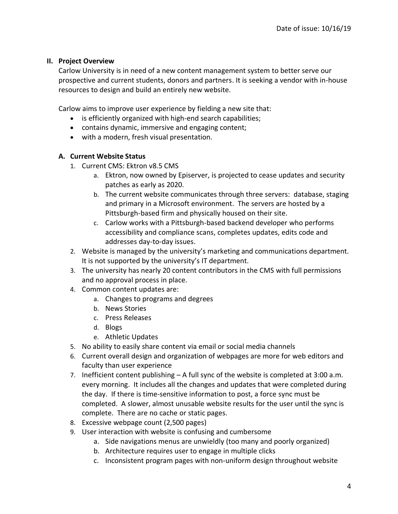## **II. Project Overview**

Carlow University is in need of a new content management system to better serve our prospective and current students, donors and partners. It is seeking a vendor with in-house resources to design and build an entirely new website.

Carlow aims to improve user experience by fielding a new site that:

- is efficiently organized with high-end search capabilities;
- contains dynamic, immersive and engaging content;
- with a modern, fresh visual presentation.

# **A. Current Website Status**

- 1. Current CMS: Ektron v8.5 CMS
	- a. Ektron, now owned by Episerver, is projected to cease updates and security patches as early as 2020.
	- b. The current website communicates through three servers: database, staging and primary in a Microsoft environment. The servers are hosted by a Pittsburgh-based firm and physically housed on their site.
	- c. Carlow works with a Pittsburgh-based backend developer who performs accessibility and compliance scans, completes updates, edits code and addresses day-to-day issues.
- 2. Website is managed by the university's marketing and communications department. It is not supported by the university's IT department.
- 3. The university has nearly 20 content contributors in the CMS with full permissions and no approval process in place.
- 4. Common content updates are:
	- a. Changes to programs and degrees
	- b. News Stories
	- c. Press Releases
	- d. Blogs
	- e. Athletic Updates
- 5. No ability to easily share content via email or social media channels
- 6. Current overall design and organization of webpages are more for web editors and faculty than user experience
- 7. Inefficient content publishing A full sync of the website is completed at 3:00 a.m. every morning. It includes all the changes and updates that were completed during the day. If there is time-sensitive information to post, a force sync must be completed. A slower, almost unusable website results for the user until the sync is complete. There are no cache or static pages.
- 8. Excessive webpage count (2,500 pages)
- 9. User interaction with website is confusing and cumbersome
	- a. Side navigations menus are unwieldly (too many and poorly organized)
	- b. Architecture requires user to engage in multiple clicks
	- c. Inconsistent program pages with non-uniform design throughout website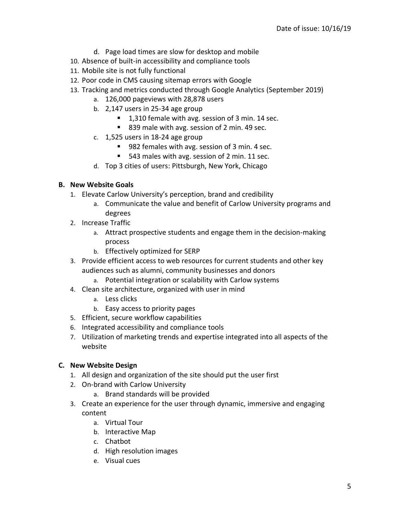- d. Page load times are slow for desktop and mobile
- 10. Absence of built-in accessibility and compliance tools
- 11. Mobile site is not fully functional
- 12. Poor code in CMS causing sitemap errors with Google
- 13. Tracking and metrics conducted through Google Analytics (September 2019)
	- a. 126,000 pageviews with 28,878 users
	- b. 2,147 users in 25-34 age group
		- 1,310 female with avg. session of 3 min. 14 sec.
		- 839 male with avg. session of 2 min. 49 sec.
	- c. 1,525 users in 18-24 age group
		- 982 females with avg. session of 3 min. 4 sec.
		- 543 males with avg. session of 2 min. 11 sec.
	- d. Top 3 cities of users: Pittsburgh, New York, Chicago

#### **B. New Website Goals**

- 1. Elevate Carlow University's perception, brand and credibility
	- a. Communicate the value and benefit of Carlow University programs and degrees
- 2. Increase Traffic
	- a. Attract prospective students and engage them in the decision-making process
	- b. Effectively optimized for SERP
- 3. Provide efficient access to web resources for current students and other key audiences such as alumni, community businesses and donors
	- a. Potential integration or scalability with Carlow systems
- 4. Clean site architecture, organized with user in mind
	- a. Less clicks
	- b. Easy access to priority pages
- 5. Efficient, secure workflow capabilities
- 6. Integrated accessibility and compliance tools
- 7. Utilization of marketing trends and expertise integrated into all aspects of the website

#### **C. New Website Design**

- 1. All design and organization of the site should put the user first
- 2. On-brand with Carlow University
	- a. Brand standards will be provided
- 3. Create an experience for the user through dynamic, immersive and engaging content
	- a. Virtual Tour
	- b. Interactive Map
	- c. Chatbot
	- d. High resolution images
	- e. Visual cues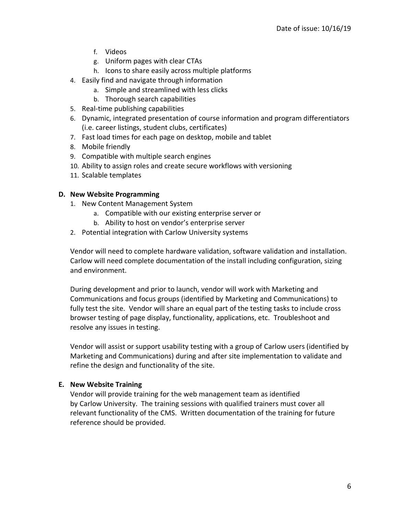- f. Videos
- g. Uniform pages with clear CTAs
- h. Icons to share easily across multiple platforms
- 4. Easily find and navigate through information
	- a. Simple and streamlined with less clicks
	- b. Thorough search capabilities
- 5. Real-time publishing capabilities
- 6. Dynamic, integrated presentation of course information and program differentiators (i.e. career listings, student clubs, certificates)
- 7. Fast load times for each page on desktop, mobile and tablet
- 8. Mobile friendly
- 9. Compatible with multiple search engines
- 10. Ability to assign roles and create secure workflows with versioning
- 11. Scalable templates

# **D. New Website Programming**

- 1. New Content Management System
	- a. Compatible with our existing enterprise server or
	- b. Ability to host on vendor's enterprise server
- 2. Potential integration with Carlow University systems

Vendor will need to complete hardware validation, software validation and installation. Carlow will need complete documentation of the install including configuration, sizing and environment.

During development and prior to launch, vendor will work with Marketing and Communications and focus groups (identified by Marketing and Communications) to fully test the site. Vendor will share an equal part of the testing tasks to include cross browser testing of page display, functionality, applications, etc. Troubleshoot and resolve any issues in testing.

Vendor will assist or support usability testing with a group of Carlow users (identified by Marketing and Communications) during and after site implementation to validate and refine the design and functionality of the site.

# **E. New Website Training**

Vendor will provide training for the web management team as identified by Carlow University. The training sessions with qualified trainers must cover all relevant functionality of the CMS. Written documentation of the training for future reference should be provided.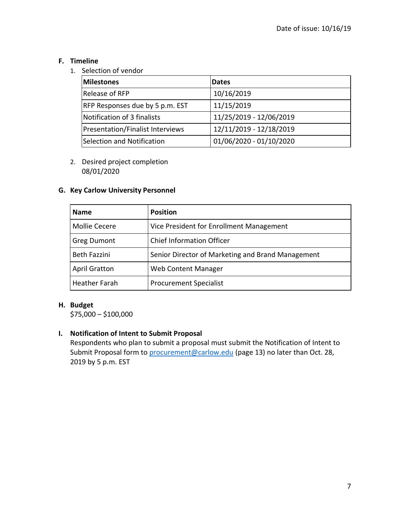# **F. Timeline**

1. Selection of vendor

| <b>Milestones</b>                       | <b>Dates</b>            |
|-----------------------------------------|-------------------------|
| Release of RFP                          | 10/16/2019              |
| RFP Responses due by 5 p.m. EST         | 11/15/2019              |
| Notification of 3 finalists             | 11/25/2019 - 12/06/2019 |
| <b>Presentation/Finalist Interviews</b> | 12/11/2019 - 12/18/2019 |
| Selection and Notification              | 01/06/2020 - 01/10/2020 |

2. Desired project completion 08/01/2020

# **G. Key Carlow University Personnel**

| <b>Name</b>          | <b>Position</b>                                   |
|----------------------|---------------------------------------------------|
| Mollie Cecere        | Vice President for Enrollment Management          |
| <b>Greg Dumont</b>   | <b>Chief Information Officer</b>                  |
| <b>Beth Fazzini</b>  | Senior Director of Marketing and Brand Management |
| <b>April Gratton</b> | Web Content Manager                               |
| <b>Heather Farah</b> | <b>Procurement Specialist</b>                     |

# **H. Budget**

\$75,000 – \$100,000

# **I. Notification of Intent to Submit Proposal**

Respondents who plan to submit a proposal must submit the Notification of Intent to Submit Proposal form to [procurement@carlow.edu](mailto:procurement@carlow.edu) (page 13) no later than Oct. 28, 2019 by 5 p.m. EST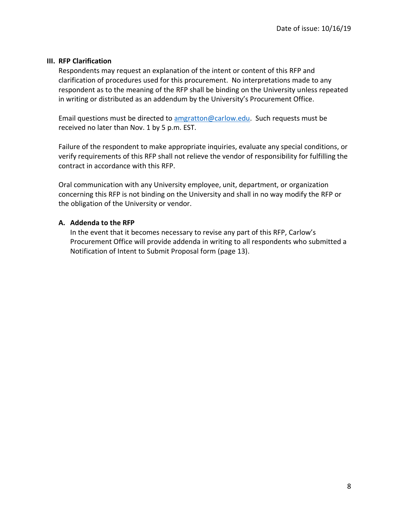#### **III. RFP Clarification**

Respondents may request an explanation of the intent or content of this RFP and clarification of procedures used for this procurement. No interpretations made to any respondent as to the meaning of the RFP shall be binding on the University unless repeated in writing or distributed as an addendum by the University's Procurement Office.

Email questions must be directed to [amgratton@carlow.edu.](mailto:amgratton@carlow.edu) Such requests must be received no later than Nov. 1 by 5 p.m. EST.

Failure of the respondent to make appropriate inquiries, evaluate any special conditions, or verify requirements of this RFP shall not relieve the vendor of responsibility for fulfilling the contract in accordance with this RFP.

Oral communication with any University employee, unit, department, or organization concerning this RFP is not binding on the University and shall in no way modify the RFP or the obligation of the University or vendor.

# **A. Addenda to the RFP**

In the event that it becomes necessary to revise any part of this RFP, Carlow's Procurement Office will provide addenda in writing to all respondents who submitted a Notification of Intent to Submit Proposal form (page 13).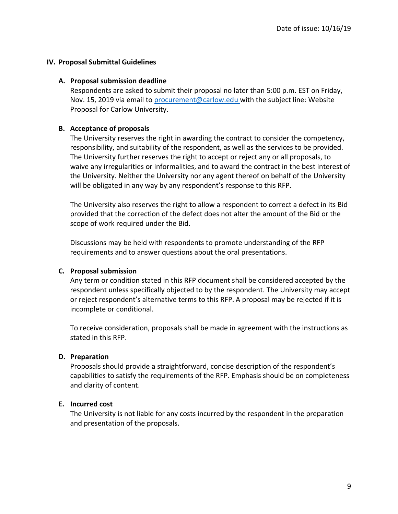# **IV. Proposal Submittal Guidelines**

#### **A. Proposal submission deadline**

Respondents are asked to submit their proposal no later than 5:00 p.m. EST on Friday, Nov. 15, 2019 via email to [procurement@carlow.edu](mailto:procurement@carlow.edu) with the subject line: Website Proposal for Carlow University.

#### **B. Acceptance of proposals**

The University reserves the right in awarding the contract to consider the competency, responsibility, and suitability of the respondent, as well as the services to be provided. The University further reserves the right to accept or reject any or all proposals, to waive any irregularities or informalities, and to award the contract in the best interest of the University. Neither the University nor any agent thereof on behalf of the University will be obligated in any way by any respondent's response to this RFP.

The University also reserves the right to allow a respondent to correct a defect in its Bid provided that the correction of the defect does not alter the amount of the Bid or the scope of work required under the Bid.

Discussions may be held with respondents to promote understanding of the RFP requirements and to answer questions about the oral presentations.

# **C. Proposal submission**

Any term or condition stated in this RFP document shall be considered accepted by the respondent unless specifically objected to by the respondent. The University may accept or reject respondent's alternative terms to this RFP. A proposal may be rejected if it is incomplete or conditional.

To receive consideration, proposals shall be made in agreement with the instructions as stated in this RFP.

# **D. Preparation**

Proposals should provide a straightforward, concise description of the respondent's capabilities to satisfy the requirements of the RFP. Emphasis should be on completeness and clarity of content.

#### **E. Incurred cost**

The University is not liable for any costs incurred by the respondent in the preparation and presentation of the proposals.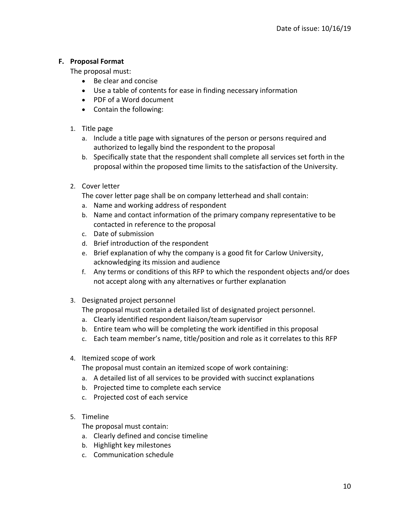# **F. Proposal Format**

The proposal must:

- Be clear and concise
- Use a table of contents for ease in finding necessary information
- PDF of a Word document
- Contain the following:
- 1. Title page
	- a. Include a title page with signatures of the person or persons required and authorized to legally bind the respondent to the proposal
	- b. Specifically state that the respondent shall complete all services set forth in the proposal within the proposed time limits to the satisfaction of the University.
- 2. Cover letter

The cover letter page shall be on company letterhead and shall contain:

- a. Name and working address of respondent
- b. Name and contact information of the primary company representative to be contacted in reference to the proposal
- c. Date of submission
- d. Brief introduction of the respondent
- e. Brief explanation of why the company is a good fit for Carlow University, acknowledging its mission and audience
- f. Any terms or conditions of this RFP to which the respondent objects and/or does not accept along with any alternatives or further explanation
- 3. Designated project personnel

The proposal must contain a detailed list of designated project personnel.

- a. Clearly identified respondent liaison/team supervisor
- b. Entire team who will be completing the work identified in this proposal
- c. Each team member's name, title/position and role as it correlates to this RFP
- 4. Itemized scope of work

The proposal must contain an itemized scope of work containing:

- a. A detailed list of all services to be provided with succinct explanations
- b. Projected time to complete each service
- c. Projected cost of each service
- 5. Timeline

The proposal must contain:

- a. Clearly defined and concise timeline
- b. Highlight key milestones
- c. Communication schedule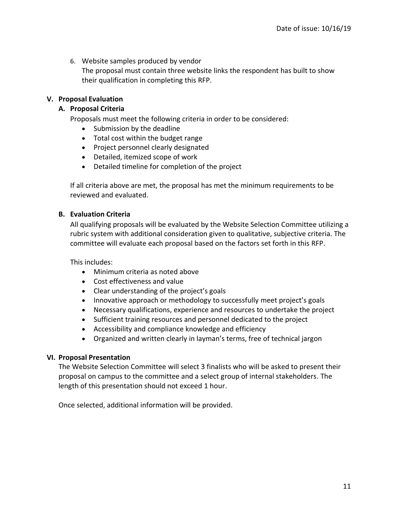6. Website samples produced by vendor The proposal must contain three website links the respondent has built to show their qualification in completing this RFP.

# **V. Proposal Evaluation**

# **A. Proposal Criteria**

Proposals must meet the following criteria in order to be considered:

- Submission by the deadline
- Total cost within the budget range
- Project personnel clearly designated
- Detailed, itemized scope of work
- Detailed timeline for completion of the project

If all criteria above are met, the proposal has met the minimum requirements to be reviewed and evaluated.

# **B. Evaluation Criteria**

All qualifying proposals will be evaluated by the Website Selection Committee utilizing a rubric system with additional consideration given to qualitative, subjective criteria. The committee will evaluate each proposal based on the factors set forth in this RFP.

This includes:

- Minimum criteria as noted above
- Cost effectiveness and value
- Clear understanding of the project's goals
- Innovative approach or methodology to successfully meet project's goals
- Necessary qualifications, experience and resources to undertake the project
- Sufficient training resources and personnel dedicated to the project
- Accessibility and compliance knowledge and efficiency
- Organized and written clearly in layman's terms, free of technical jargon

#### **VI. Proposal Presentation**

The Website Selection Committee will select 3 finalists who will be asked to present their proposal on campus to the committee and a select group of internal stakeholders. The length of this presentation should not exceed 1 hour.

Once selected, additional information will be provided.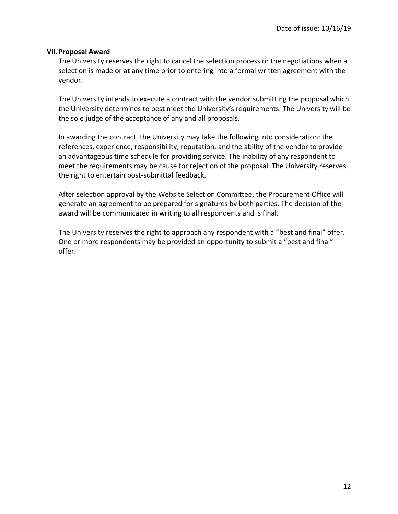#### **VII.Proposal Award**

The University reserves the right to cancel the selection process or the negotiations when a selection is made or at any time prior to entering into a formal written agreement with the vendor.

The University intends to execute a contract with the vendor submitting the proposal which the University determines to best meet the University's requirements. The University will be the sole judge of the acceptance of any and all proposals.

In awarding the contract, the University may take the following into consideration: the references, experience, responsibility, reputation, and the ability of the vendor to provide an advantageous time schedule for providing service. The inability of any respondent to meet the requirements may be cause for rejection of the proposal. The University reserves the right to entertain post-submittal feedback.

After selection approval by the Website Selection Committee, the Procurement Office will generate an agreement to be prepared for signatures by both parties. The decision of the award will be communicated in writing to all respondents and is final.

The University reserves the right to approach any respondent with a "best and final" offer. One or more respondents may be provided an opportunity to submit a "best and final" offer.